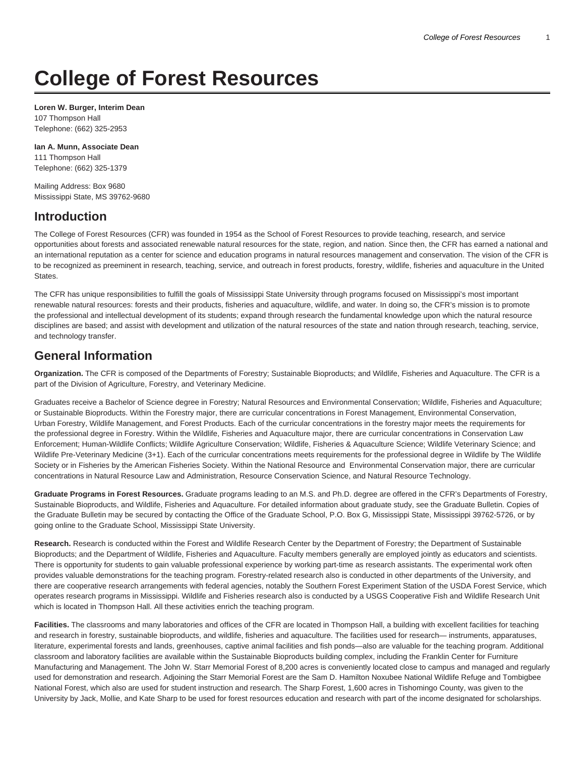# **College of Forest Resources**

**Loren W. Burger, Interim Dean** 107 Thompson Hall Telephone: (662) 325-2953

**Ian A. Munn, Associate Dean** 111 Thompson Hall Telephone: (662) 325-1379

Mailing Address: Box 9680 Mississippi State, MS 39762-9680

### **Introduction**

The College of Forest Resources (CFR) was founded in 1954 as the School of Forest Resources to provide teaching, research, and service opportunities about forests and associated renewable natural resources for the state, region, and nation. Since then, the CFR has earned a national and an international reputation as a center for science and education programs in natural resources management and conservation. The vision of the CFR is to be recognized as preeminent in research, teaching, service, and outreach in forest products, forestry, wildlife, fisheries and aquaculture in the United States.

The CFR has unique responsibilities to fulfill the goals of Mississippi State University through programs focused on Mississippi's most important renewable natural resources: forests and their products, fisheries and aquaculture, wildlife, and water. In doing so, the CFR's mission is to promote the professional and intellectual development of its students; expand through research the fundamental knowledge upon which the natural resource disciplines are based; and assist with development and utilization of the natural resources of the state and nation through research, teaching, service, and technology transfer.

### **General Information**

**Organization.** The CFR is composed of the Departments of Forestry; Sustainable Bioproducts; and Wildlife, Fisheries and Aquaculture. The CFR is a part of the Division of Agriculture, Forestry, and Veterinary Medicine.

Graduates receive a Bachelor of Science degree in Forestry; Natural Resources and Environmental Conservation; Wildlife, Fisheries and Aquaculture; or Sustainable Bioproducts. Within the Forestry major, there are curricular concentrations in Forest Management, Environmental Conservation, Urban Forestry, Wildlife Management, and Forest Products. Each of the curricular concentrations in the forestry major meets the requirements for the professional degree in Forestry. Within the Wildlife, Fisheries and Aquaculture major, there are curricular concentrations in Conservation Law Enforcement; Human-Wildlife Conflicts; Wildlife Agriculture Conservation; Wildlife, Fisheries & Aquaculture Science; Wildlife Veterinary Science; and Wildlife Pre-Veterinary Medicine (3+1). Each of the curricular concentrations meets requirements for the professional degree in Wildlife by The Wildlife Society or in Fisheries by the American Fisheries Society. Within the National Resource and Environmental Conservation major, there are curricular concentrations in Natural Resource Law and Administration, Resource Conservation Science, and Natural Resource Technology.

**Graduate Programs in Forest Resources.** Graduate programs leading to an M.S. and Ph.D. degree are offered in the CFR's Departments of Forestry, Sustainable Bioproducts, and Wildlife, Fisheries and Aquaculture. For detailed information about graduate study, see the Graduate Bulletin. Copies of the Graduate Bulletin may be secured by contacting the Office of the Graduate School, P.O. Box G, Mississippi State, Mississippi 39762-5726, or by going online to the Graduate School, Mississippi State University.

**Research.** Research is conducted within the Forest and Wildlife Research Center by the Department of Forestry; the Department of Sustainable Bioproducts; and the Department of Wildlife, Fisheries and Aquaculture. Faculty members generally are employed jointly as educators and scientists. There is opportunity for students to gain valuable professional experience by working part-time as research assistants. The experimental work often provides valuable demonstrations for the teaching program. Forestry-related research also is conducted in other departments of the University, and there are cooperative research arrangements with federal agencies, notably the Southern Forest Experiment Station of the USDA Forest Service, which operates research programs in Mississippi. Wildlife and Fisheries research also is conducted by a USGS Cooperative Fish and Wildlife Research Unit which is located in Thompson Hall. All these activities enrich the teaching program.

**Facilities.** The classrooms and many laboratories and offices of the CFR are located in Thompson Hall, a building with excellent facilities for teaching and research in forestry, sustainable bioproducts, and wildlife, fisheries and aquaculture. The facilities used for research— instruments, apparatuses, literature, experimental forests and lands, greenhouses, captive animal facilities and fish ponds—also are valuable for the teaching program. Additional classroom and laboratory facilities are available within the Sustainable Bioproducts building complex, including the Franklin Center for Furniture Manufacturing and Management. The John W. Starr Memorial Forest of 8,200 acres is conveniently located close to campus and managed and regularly used for demonstration and research. Adjoining the Starr Memorial Forest are the Sam D. Hamilton Noxubee National Wildlife Refuge and Tombigbee National Forest, which also are used for student instruction and research. The Sharp Forest, 1,600 acres in Tishomingo County, was given to the University by Jack, Mollie, and Kate Sharp to be used for forest resources education and research with part of the income designated for scholarships.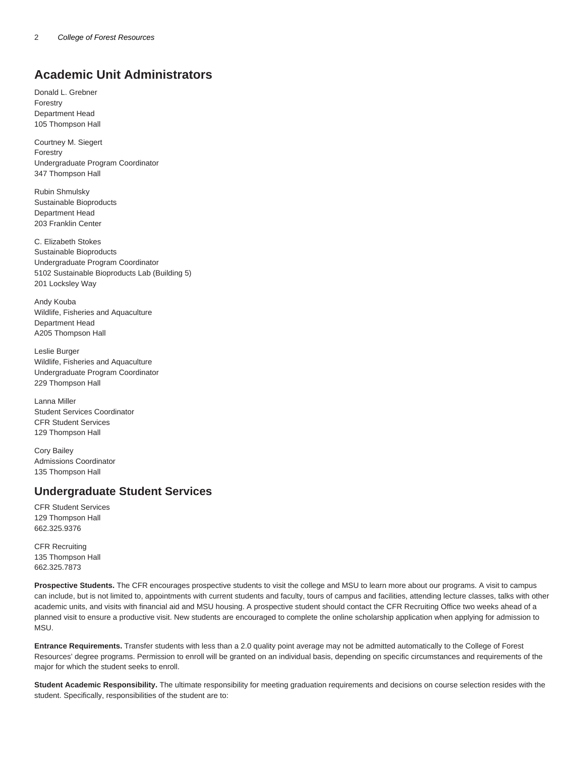## **Academic Unit Administrators**

Donald L. Grebner Forestry Department Head 105 Thompson Hall

Courtney M. Siegert Forestry Undergraduate Program Coordinator 347 Thompson Hall

Rubin Shmulsky Sustainable Bioproducts Department Head 203 Franklin Center

C. Elizabeth Stokes Sustainable Bioproducts Undergraduate Program Coordinator 5102 Sustainable Bioproducts Lab (Building 5) 201 Locksley Way

Andy Kouba Wildlife, Fisheries and Aquaculture Department Head A205 Thompson Hall

Leslie Burger Wildlife, Fisheries and Aquaculture Undergraduate Program Coordinator 229 Thompson Hall

Lanna Miller Student Services Coordinator CFR Student Services 129 Thompson Hall

Cory Bailey Admissions Coordinator 135 Thompson Hall

#### **Undergraduate Student Services**

CFR Student Services 129 Thompson Hall 662.325.9376

CFR Recruiting 135 Thompson Hall 662.325.7873

**Prospective Students.** The CFR encourages prospective students to visit the college and MSU to learn more about our programs. A visit to campus can include, but is not limited to, appointments with current students and faculty, tours of campus and facilities, attending lecture classes, talks with other academic units, and visits with financial aid and MSU housing. A prospective student should contact the CFR Recruiting Office two weeks ahead of a planned visit to ensure a productive visit. New students are encouraged to complete the online scholarship application when applying for admission to MSU.

**Entrance Requirements.** Transfer students with less than a 2.0 quality point average may not be admitted automatically to the College of Forest Resources' degree programs. Permission to enroll will be granted on an individual basis, depending on specific circumstances and requirements of the major for which the student seeks to enroll.

**Student Academic Responsibility.** The ultimate responsibility for meeting graduation requirements and decisions on course selection resides with the student. Specifically, responsibilities of the student are to: